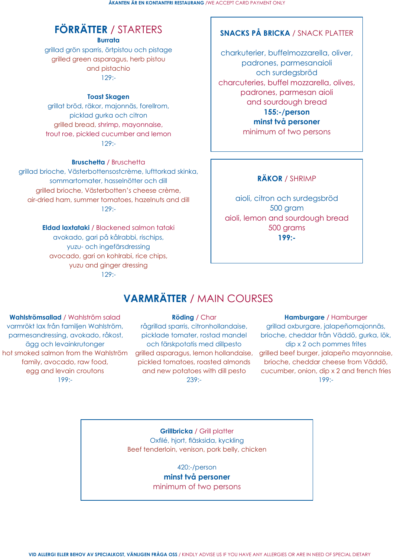# **FÖRRÄTTER** / STARTERS

**Burrata**

grillad grön sparris, örtpistou och pistage grilled green asparagus, herb pistou and pistachio 129:-

### **Toast Skagen**

grillat bröd, räkor, majonnäs, forellrom, picklad gurka och citron grilled bread, shrimp, mayonnaise, trout roe, pickled cucumber and lemon 129:-

### **Bruschetta** / Bruschetta

grillad brioche, Västerbottensostcrème, lufttorkad skinka, sommartomater, hasselnötter och dill grilled brioche, Västerbotten's cheese crème, air-dried ham, summer tomatoes, hazelnuts and dill 129:-

> **Eldad laxtataki** / Blackened salmon tataki avokado, gari på kålrabbi, rischips, yuzu- och ingefärsdressing avocado, gari on kohlrabi, rice chips, yuzu and ginger dressing 129:-

## **SNACKS PÅ BRICKA** / SNACK PLATTER

charkuterier, buffelmozzarella, oliver, padrones, parmesanaioli och surdegsbröd charcuteries, buffel mozzarella, olives, padrones, parmesan aioli and sourdough bread **155:-/person minst två personer** minimum of two persons

## **RÄKOR** / SHRIMP

aioli, citron och surdegsbröd 500 gram aioli, lemon and sourdough bread 500 grams **199:-**

## **VARMRÄTTER** / MAIN COURSES

### **Hamburgare** / Hamburger

grillad oxburgare, jalapeñomajonnäs, brioche, cheddar från Väddö, gurka, lök, dip x 2 och pommes frites grilled asparagus, lemon hollandaise, grilled beef burger, jalapeño mayonnaise, brioche, cheddar cheese from Väddö, cucumber, onion, dip x 2 and french fries 199:-

**Wahlströmsallad** / Wahlström salad varmrökt lax från familjen Wahlström, parmesandressing, avokado, råkost, ägg och levainkrutonger hot smoked salmon from the Wahlström family, avocado, raw food, egg and levain croutons 199:-

### **Röding** / Char

rågrillad sparris, citronhollandaise, picklade tomater, rostad mandel och färskpotatis med dillpesto pickled tomatoes, roasted almonds and new potatoes with dill pesto 239:-

**Grillbricka** / Grill platter

Oxfilé, hjort, fläsksida, kyckling Beef tenderloin, venison, pork belly, chicken

> 420:-/person **minst två personer** minimum of two persons

**VID ALLERGI ELLER BEHOV AV SPECIALKOST, VÄNLIGEN FRÅGA OSS** / KINDLY ADVISE US IF YOU HAVE ANY ALLERGIES OR ARE IN NEED OF SPECIAL DIETARY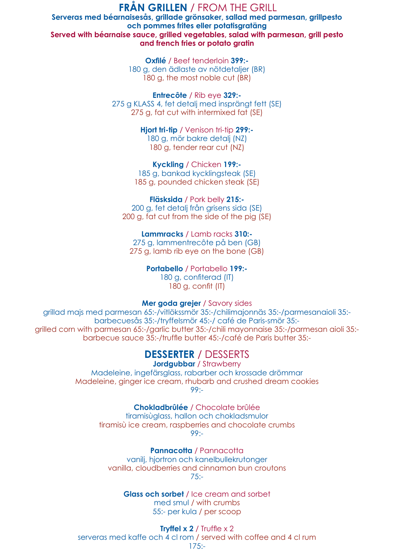## **FRÅN GRILLEN** / FROM THE GRILL

**Oxfilé** / Beef tenderloin **399:-** 180 g, den ädlaste av nötdetaljer (BR) 180 g, the most noble cut (BR)

**Serveras med béarnaisesås, grillade grönsaker, sallad med parmesan, grillpesto och pommes frites eller potatisgratäng Served with béarnaise sauce, grilled vegetables, salad with parmesan, grill pesto and french fries or potato gratin**

> **Entrecôte** / Rib eye **329:-** 275 g KLASS 4, fet detalj med insprängt fett (SE) 275 g, fat cut with intermixed fat (SE)

> > **Hjort tri-tip** / Venison tri-tip **299:-** 180 g, mör bakre detalj (NZ) 180 g, tender rear cut (NZ)

**Kyckling** / Chicken **199:-** 185 g, bankad kycklingsteak (SE) 185 g, pounded chicken steak (SE)

**Fläsksida** / Pork belly **215:-** 200 g, fet detalj från grisens sida (SE) 200 g, fat cut from the side of the pig (SE)

**Jordgubbar / Strawberry** Madeleine, ingefärsglass, rabarber och krossade drömmar Madeleine, ginger ice cream, rhubarb and crushed dream cookies 99:-

**Lammracks** / Lamb racks **310:-** 275 g, lammentrecôte på ben (GB) 275 g, lamb rib eye on the bone (GB)

**Pannacotta / Pannacotta** vanilj, hjortron och kanelbullekrutonger vanilla, cloudberries and cinnamon bun croutons 75:-

**Portabello** / Portabello **199:-** 180 g, confiterad (IT) 180 g, confit (IT)

### **Mer goda grejer** / Savory sides

grillad majs med parmesan 65:-/vitlökssmör 35:-/chilimajonnäs 35:-/parmesanaioli 35: barbecuesås 35:-/tryffelsmör 45:-/ café de Paris-smör 35: grilled corn with parmesan 65:-/garlic butter 35:-/chili mayonnaise 35:-/parmesan aioli 35: barbecue sauce 35:-/truffle butter 45:-/café de Paris butter 35:-

## **DESSERTER** / DESSERTS

**Chokladbrûlée** / Chocolate brûlée tiramisùglass, hallon och chokladsmulor

tiramisù ice cream, raspberries and chocolate crumbs 99:-

> **Glass och sorbet** / Ice cream and sorbet med smul / with crumbs 55:- per kula / per scoop

**Tryffel x 2** / Truffle x 2 serveras med kaffe och 4 cl rom / served with coffee and 4 cl rum 175:-